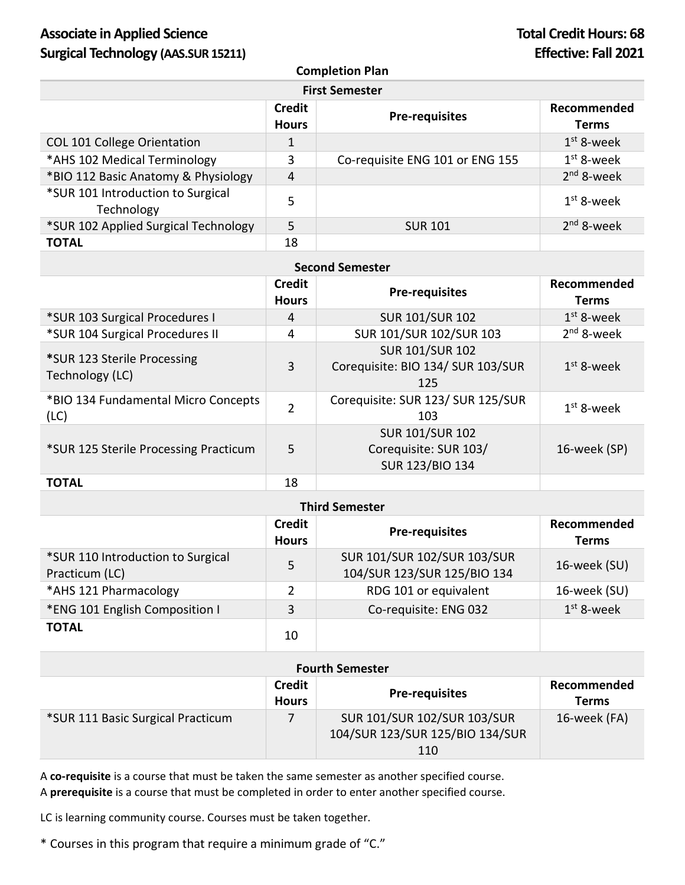# Associate in Applied Science **Total Credit Hours: 68 Surgical Technology (AAS.SUR 15211) Effective: Fall 2021**

### **Completion Plan**

| <b>First Semester</b>                           |                               |                                 |                             |  |
|-------------------------------------------------|-------------------------------|---------------------------------|-----------------------------|--|
|                                                 | <b>Credit</b><br><b>Hours</b> | <b>Pre-requisites</b>           | Recommended<br><b>Terms</b> |  |
| COL 101 College Orientation                     |                               |                                 | $1st$ 8-week                |  |
| *AHS 102 Medical Terminology                    | 3                             | Co-requisite ENG 101 or ENG 155 | $1st$ 8-week                |  |
| *BIO 112 Basic Anatomy & Physiology             | 4                             |                                 | $2nd$ 8-week                |  |
| *SUR 101 Introduction to Surgical<br>Technology | 5                             |                                 | $1st$ 8-week                |  |
| *SUR 102 Applied Surgical Technology            | 5                             | <b>SUR 101</b>                  | $2nd$ 8-week                |  |
| <b>TOTAL</b>                                    | 18                            |                                 |                             |  |

|                                                | <b>Credit</b><br><b>Hours</b> | <b>Pre-requisites</b>                                              | Recommended<br><b>Terms</b> |
|------------------------------------------------|-------------------------------|--------------------------------------------------------------------|-----------------------------|
| *SUR 103 Surgical Procedures I                 | 4                             | <b>SUR 101/SUR 102</b>                                             | $1st$ 8-week                |
| *SUR 104 Surgical Procedures II                | 4                             | SUR 101/SUR 102/SUR 103                                            | $2nd$ 8-week                |
| *SUR 123 Sterile Processing<br>Technology (LC) | 3                             | <b>SUR 101/SUR 102</b><br>Corequisite: BIO 134/ SUR 103/SUR<br>125 | $1st$ 8-week                |
| *BIO 134 Fundamental Micro Concepts<br>(LC)    | $\overline{2}$                | Corequisite: SUR 123/ SUR 125/SUR<br>103                           | $1st$ 8-week                |
| *SUR 125 Sterile Processing Practicum          | 5                             | <b>SUR 101/SUR 102</b><br>Corequisite: SUR 103/<br>SUR 123/BIO 134 | 16-week (SP)                |
| <b>TOTAL</b>                                   | 18                            |                                                                    |                             |

| <b>Third Semester</b>                               |                               |                                                            |                             |  |
|-----------------------------------------------------|-------------------------------|------------------------------------------------------------|-----------------------------|--|
|                                                     | <b>Credit</b><br><b>Hours</b> | <b>Pre-requisites</b>                                      | Recommended<br><b>Terms</b> |  |
| *SUR 110 Introduction to Surgical<br>Practicum (LC) | 5                             | SUR 101/SUR 102/SUR 103/SUR<br>104/SUR 123/SUR 125/BIO 134 | 16-week (SU)                |  |
| *AHS 121 Pharmacology                               | 2                             | RDG 101 or equivalent                                      | 16-week (SU)                |  |
| *ENG 101 English Composition I                      | 3                             | Co-requisite: ENG 032                                      | $1st$ 8-week                |  |
| <b>TOTAL</b>                                        | 10                            |                                                            |                             |  |

## **Fourth Semester**

|                                   | <b>Credit</b><br><b>Hours</b> | <b>Pre-requisites</b>                                                        | Recommended<br>Terms |
|-----------------------------------|-------------------------------|------------------------------------------------------------------------------|----------------------|
| *SUR 111 Basic Surgical Practicum |                               | <b>SUR 101/SUR 102/SUR 103/SUR</b><br>104/SUR 123/SUR 125/BIO 134/SUR<br>110 | 16-week (FA)         |

A **co-requisite** is a course that must be taken the same semester as another specified course. A **prerequisite** is a course that must be completed in order to enter another specified course.

LC is learning community course. Courses must be taken together.

\* Courses in this program that require a minimum grade of "C."